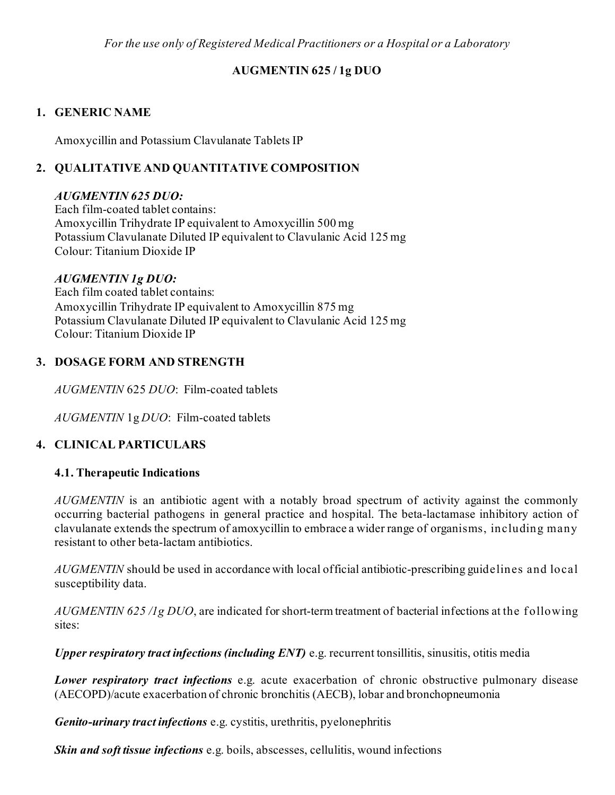*For the use only of Registered Medical Practitioners or a Hospital or a Laboratory*

# **AUGMENTIN 625 / 1g DUO**

# **1. GENERIC NAME**

Amoxycillin and Potassium Clavulanate Tablets IP

# **2. QUALITATIVE AND QUANTITATIVE COMPOSITION**

## *AUGMENTIN 625 DUO:*

Each film-coated tablet contains: Amoxycillin Trihydrate IP equivalent to Amoxycillin 500 mg Potassium Clavulanate Diluted IP equivalent to Clavulanic Acid 125 mg Colour: Titanium Dioxide IP

# *AUGMENTIN 1g DUO:*

Each film coated tablet contains: Amoxycillin Trihydrate IP equivalent to Amoxycillin 875 mg Potassium Clavulanate Diluted IP equivalent to Clavulanic Acid 125 mg Colour: Titanium Dioxide IP

# **3. DOSAGE FORM AND STRENGTH**

*AUGMENTIN* 625 *DUO*: Film-coated tablets

*AUGMENTIN* 1g *DUO*: Film-coated tablets

# **4. CLINICAL PARTICULARS**

# **4.1. Therapeutic Indications**

*AUGMENTIN* is an antibiotic agent with a notably broad spectrum of activity against the commonly occurring bacterial pathogens in general practice and hospital. The beta-lactamase inhibitory action of clavulanate extends the spectrum of amoxycillin to embrace a wider range of organisms, including many resistant to other beta-lactam antibiotics.

*AUGMENTIN* should be used in accordance with local official antibiotic-prescribing guidelines and local susceptibility data.

*AUGMENTIN 625 /1g DUO*, are indicated for short-term treatment of bacterial infections at the f ollowing sites:

*Upper respiratory tract infections (including ENT)* e.g. recurrent tonsillitis, sinusitis, otitis media

*Lower respiratory tract infections* e.g. acute exacerbation of chronic obstructive pulmonary disease (AECOPD)/acute exacerbation of chronic bronchitis (AECB), lobar and bronchopneumonia

*Genito-urinary tract infections* e.g. cystitis, urethritis, pyelonephritis

*Skin and soft tissue infections* e.g. boils, abscesses, cellulitis, wound infections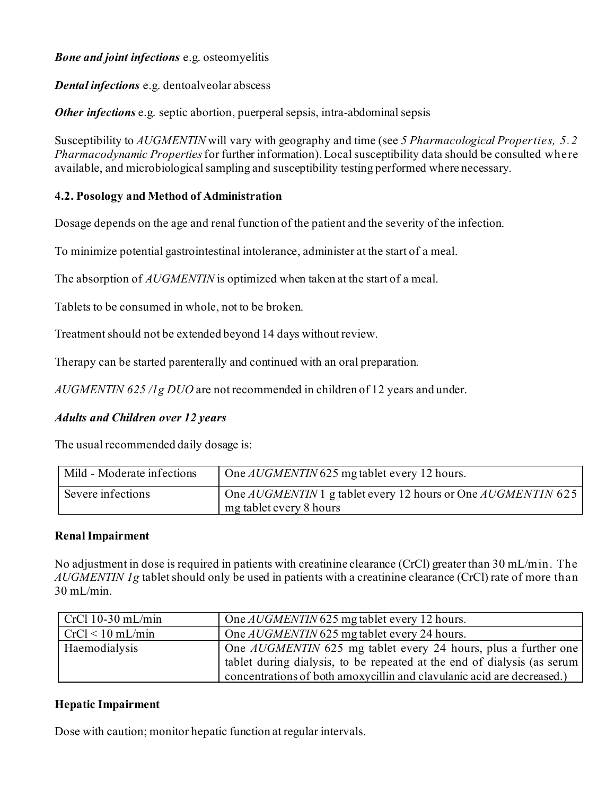## *Bone and joint infections* e.g. osteomyelitis

*Dental infections* e.g. dentoalveolar abscess

*Other infections* e.g. septic abortion, puerperal sepsis, intra-abdominal sepsis

Susceptibility to *AUGMENTIN* will vary with geography and time (see *5 Pharmacological Properties, 5.2 Pharmacodynamic Properties*for further information). Local susceptibility data should be consulted where available, and microbiological sampling and susceptibility testing performed where necessary.

## **4.2. Posology and Method of Administration**

Dosage depends on the age and renal function of the patient and the severity of the infection.

To minimize potential gastrointestinal intolerance, administer at the start of a meal.

The absorption of *AUGMENTIN* is optimized when taken at the start of a meal.

Tablets to be consumed in whole, not to be broken.

Treatment should not be extended beyond 14 days without review.

Therapy can be started parenterally and continued with an oral preparation.

*AUGMENTIN 625 /1g DUO* are not recommended in children of 12 years and under.

# *Adults and Children over 12 years*

The usual recommended daily dosage is:

| Mild - Moderate infections | One <i>AUGMENTIN</i> 625 mg tablet every 12 hours.                                                        |
|----------------------------|-----------------------------------------------------------------------------------------------------------|
| Severe infections          | One $\text{AUGMENTIN}$ 1 g tablet every 12 hours or One $\text{AUGMENTIN}$ 625<br>mg tablet every 8 hours |

### **Renal Impairment**

No adjustment in dose is required in patients with creatinine clearance (CrCl) greater than 30 mL/min. The *AUGMENTIN 1g* tablet should only be used in patients with a creatinine clearance (CrCl) rate of more than 30 mL/min.

| $CrCl$ 10-30 mL/min | One <i>AUGMENTIN</i> 625 mg tablet every 12 hours.                                                                                                                                                                          |
|---------------------|-----------------------------------------------------------------------------------------------------------------------------------------------------------------------------------------------------------------------------|
| $CrCl < 10$ mL/min  | One <i>AUGMENTIN</i> 625 mg tablet every 24 hours.                                                                                                                                                                          |
| Haemodialysis       | One <i>AUGMENTIN</i> 625 mg tablet every 24 hours, plus a further one<br>tablet during dialysis, to be repeated at the end of dialysis (as serum)<br>concentrations of both amoxycillin and clavulanic acid are decreased.) |

### **Hepatic Impairment**

Dose with caution; monitor hepatic function at regular intervals.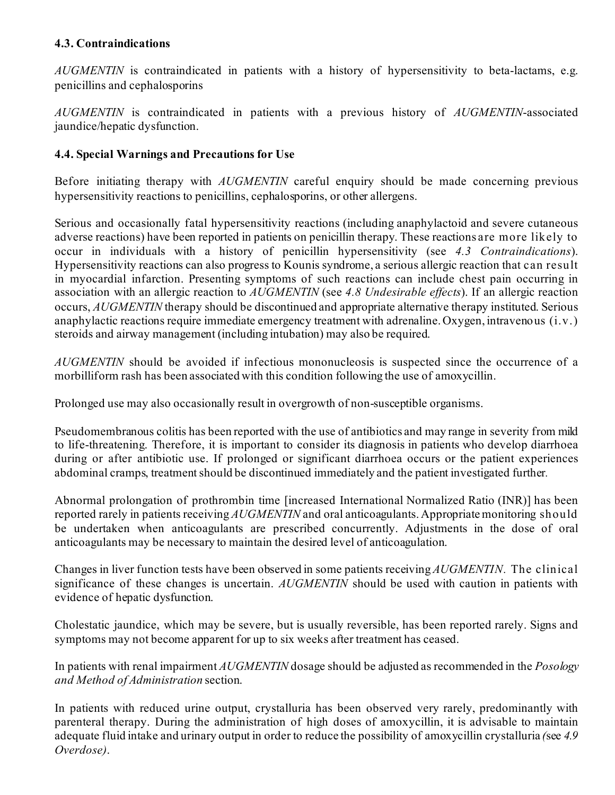## **4.3. Contraindications**

*AUGMENTIN* is contraindicated in patients with a history of hypersensitivity to beta-lactams, e.g. penicillins and cephalosporins

*AUGMENTIN* is contraindicated in patients with a previous history of *AUGMENTIN*-associated jaundice/hepatic dysfunction.

## **4.4. Special Warnings and Precautions for Use**

Before initiating therapy with *AUGMENTIN* careful enquiry should be made concerning previous hypersensitivity reactions to penicillins, cephalosporins, or other allergens.

Serious and occasionally fatal hypersensitivity reactions (including anaphylactoid and severe cutaneous adverse reactions) have been reported in patients on penicillin therapy. These reactions are more likely to occur in individuals with a history of penicillin hypersensitivity (see *4.3 Contraindications*). Hypersensitivity reactions can also progress to Kounis syndrome, a serious allergic reaction that can result in myocardial infarction. Presenting symptoms of such reactions can include chest pain occurring in association with an allergic reaction to *AUGMENTIN* (see *4.8 Undesirable effects*). If an allergic reaction occurs, *AUGMENTIN* therapy should be discontinued and appropriate alternative therapy instituted. Serious anaphylactic reactions require immediate emergency treatment with adrenaline. Oxygen, intravenous (i.v.) steroids and airway management (including intubation) may also be required.

*AUGMENTIN* should be avoided if infectious mononucleosis is suspected since the occurrence of a morbilliform rash has been associated with this condition following the use of amoxycillin.

Prolonged use may also occasionally result in overgrowth of non-susceptible organisms.

Pseudomembranous colitis has been reported with the use of antibiotics and may range in severity from mild to life-threatening. Therefore, it is important to consider its diagnosis in patients who develop diarrhoea during or after antibiotic use. If prolonged or significant diarrhoea occurs or the patient experiences abdominal cramps, treatment should be discontinued immediately and the patient investigated further*.*

Abnormal prolongation of prothrombin time [increased International Normalized Ratio (INR)] has been reported rarely in patients receiving *AUGMENTIN* and oral anticoagulants. Appropriate monitoring should be undertaken when anticoagulants are prescribed concurrently. Adjustments in the dose of oral anticoagulants may be necessary to maintain the desired level of anticoagulation.

Changes in liver function tests have been observed in some patients receiving *AUGMENTIN.* The clinical significance of these changes is uncertain. *AUGMENTIN* should be used with caution in patients with evidence of hepatic dysfunction.

Cholestatic jaundice, which may be severe, but is usually reversible, has been reported rarely. Signs and symptoms may not become apparent for up to six weeks after treatment has ceased.

In patients with renal impairment *AUGMENTIN* dosage should be adjusted as recommended in the *Posology and Method of Administration* section.

In patients with reduced urine output, crystalluria has been observed very rarely, predominantly with parenteral therapy. During the administration of high doses of amoxycillin, it is advisable to maintain adequate fluid intake and urinary output in order to reduce the possibility of amoxycillin crystalluria *(*see *4.9 Overdose)*.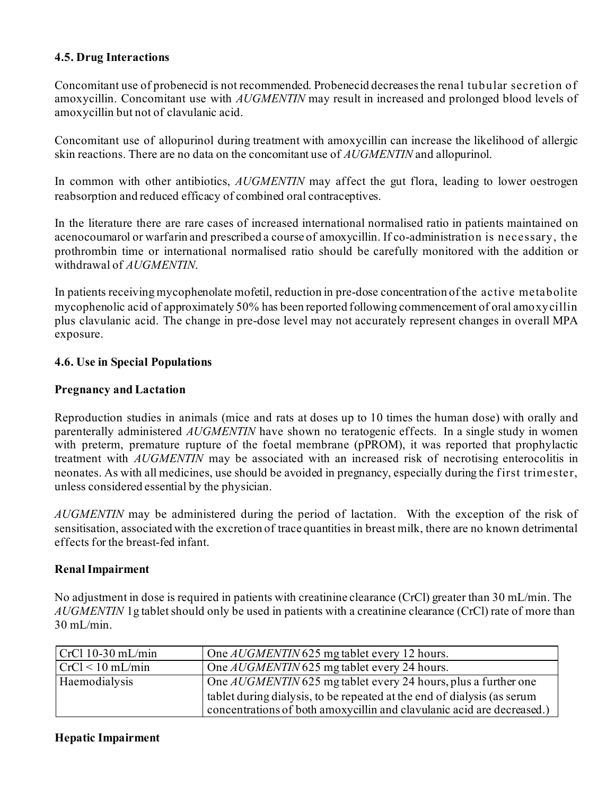### **4.5. Drug Interactions**

Concomitant use of probenecid is not recommended. Probenecid decreases the renal tubular secretion of amoxycillin. Concomitant use with *AUGMENTIN* may result in increased and prolonged blood levels of amoxycillin but not of clavulanic acid.

Concomitant use of allopurinol during treatment with amoxycillin can increase the likelihood of allergic skin reactions. There are no data on the concomitant use of *AUGMENTIN* and allopurinol.

In common with other antibiotics, *AUGMENTIN* may affect the gut flora, leading to lower oestrogen reabsorption and reduced efficacy of combined oral contraceptives.

In the literature there are rare cases of increased international normalised ratio in patients maintained on acenocoumarol or warfarin and prescribed a course of amoxycillin. If co-administration is necessary, the prothrombin time or international normalised ratio should be carefully monitored with the addition or withdrawal of *AUGMENTIN*.

In patients receiving mycophenolate mofetil, reduction in pre-dose concentration of the active metabolite mycophenolic acid of approximately 50% has been reported following commencement of oral amoxycillin plus clavulanic acid. The change in pre-dose level may not accurately represent changes in overall MPA exposure.

#### **4.6. Use in Special Populations**

#### **Pregnancy and Lactation**

Reproduction studies in animals (mice and rats at doses up to 10 times the human dose) with orally and parenterally administered *AUGMENTIN* have shown no teratogenic effects. In a single study in women with preterm, premature rupture of the foetal membrane (pPROM), it was reported that prophylactic treatment with *AUGMENTIN* may be associated with an increased risk of necrotising enterocolitis in neonates. As with all medicines, use should be avoided in pregnancy, especially during the f irst trimester, unless considered essential by the physician.

*AUGMENTIN* may be administered during the period of lactation. With the exception of the risk of sensitisation, associated with the excretion of trace quantities in breast milk, there are no known detrimental effects for the breast-fed infant.

#### **Renal Impairment**

No adjustment in dose is required in patients with creatinine clearance (CrCl) greater than 30 mL/min. The *AUGMENTIN* 1g tablet should only be used in patients with a creatinine clearance (CrCl) rate of more than 30 mL/min.

| $CrCl$ 10-30 mL/min | One <i>AUGMENTIN</i> 625 mg tablet every 12 hours.                      |
|---------------------|-------------------------------------------------------------------------|
| $CrCl < 10$ mL/min  | One <i>AUGMENTIN</i> 625 mg tablet every 24 hours.                      |
| Haemodialysis       | One <i>AUGMENTIN</i> 625 mg tablet every 24 hours, plus a further one   |
|                     | tablet during dialysis, to be repeated at the end of dialysis (as serum |
|                     | concentrations of both amoxycillin and clavulanic acid are decreased.)  |

#### **Hepatic Impairment**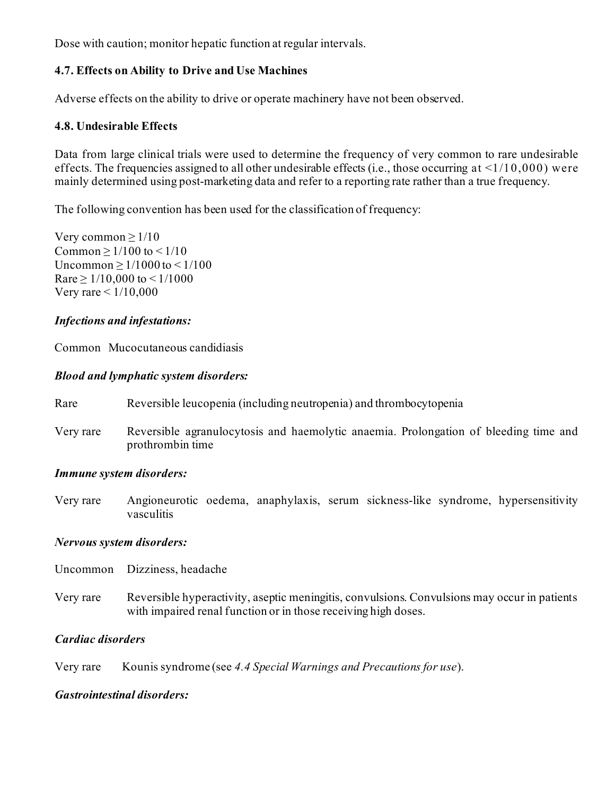Dose with caution; monitor hepatic function at regular intervals.

### **4.7. Effects on Ability to Drive and Use Machines**

Adverse effects on the ability to drive or operate machinery have not been observed.

### **4.8. Undesirable Effects**

Data from large clinical trials were used to determine the frequency of very common to rare undesirable effects. The frequencies assigned to all other undesirable effects (i.e., those occurring at  $\leq 1/10,000$ ) were mainly determined using post-marketing data and refer to a reporting rate rather than a true frequency.

The following convention has been used for the classification of frequency:

Very common  $\geq$  1/10 Common  $> 1/100$  to  $< 1/10$ Uncommon  $> 1/1000$  to  $< 1/100$ Rare  $\geq 1/10,000$  to  $\leq 1/1000$ Very rare < 1/10,000

#### *Infections and infestations:*

Common Mucocutaneous candidiasis

#### *Blood and lymphatic system disorders:*

| Rare      | Reversible leucopenia (including neutropenia) and thrombocytopenia                                       |  |
|-----------|----------------------------------------------------------------------------------------------------------|--|
| Very rare | Reversible agranulocytosis and haemolytic anaemia. Prolongation of bleeding time and<br>prothrombin time |  |

#### *Immune system disorders:*

Very rare Angioneurotic oedema, anaphylaxis, serum sickness-like syndrome, hypersensitivity vasculitis

### *Nervous system disorders:*

Uncommon Dizziness, headache

Very rare Reversible hyperactivity, aseptic meningitis, convulsions. Convulsions may occur in patients with impaired renal function or in those receiving high doses.

#### *Cardiac disorders*

Very rare Kounis syndrome (see *4.4 Special Warnings and Precautions for use*).

#### *Gastrointestinal disorders:*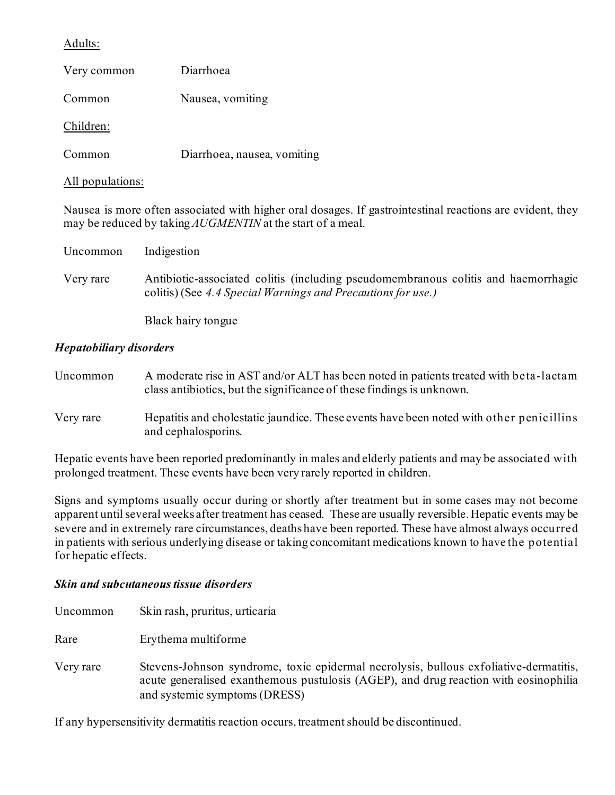### Adults:

| Very common | Diarrhoea                   |
|-------------|-----------------------------|
| Common      | Nausea, vomiting            |
| Children:   |                             |
| Common      | Diarrhoea, nausea, vomiting |

#### All populations:

Nausea is more often associated with higher oral dosages. If gastrointestinal reactions are evident, they may be reduced by taking *AUGMENTIN* at the start of a meal.

| Uncommon  | Indigestion                                                                                                                                        |
|-----------|----------------------------------------------------------------------------------------------------------------------------------------------------|
| Very rare | Antibiotic-associated colitis (including pseudomembranous colitis and haemorrhagic<br>colitis) (See 4.4 Special Warnings and Precautions for use.) |
|           | Black hairy tongue                                                                                                                                 |

### *Hepatobiliary disorders*

| Uncommon  | A moderate rise in AST and/or ALT has been noted in patients treated with beta-lactam<br>class antibiotics, but the significance of these findings is unknown. |
|-----------|----------------------------------------------------------------------------------------------------------------------------------------------------------------|
| Very rare | Hepatitis and cholestatic jaundice. These events have been noted with other penicillins<br>and cephalosporins.                                                 |

Hepatic events have been reported predominantly in males and elderly patients and may be associated with prolonged treatment. These events have been very rarely reported in children.

Signs and symptoms usually occur during or shortly after treatment but in some cases may not become apparent until several weeks after treatment has ceased. These are usually reversible. Hepatic events may be severe and in extremely rare circumstances, deaths have been reported. These have almost always occurred in patients with serious underlying disease or taking concomitant medications known to have the potential for hepatic effects.

#### *Skin and subcutaneous tissue disorders*

| Uncommon  | Skin rash, pruritus, urticaria                                                                                                                                                                                 |
|-----------|----------------------------------------------------------------------------------------------------------------------------------------------------------------------------------------------------------------|
| Rare      | Erythema multiforme                                                                                                                                                                                            |
| Very rare | Stevens-Johnson syndrome, toxic epidermal necrolysis, bullous exfoliative-dermatitis,<br>acute generalised exanthemous pustulosis (AGEP), and drug reaction with eosinophilia<br>and systemic symptoms (DRESS) |

If any hypersensitivity dermatitis reaction occurs, treatment should be discontinued.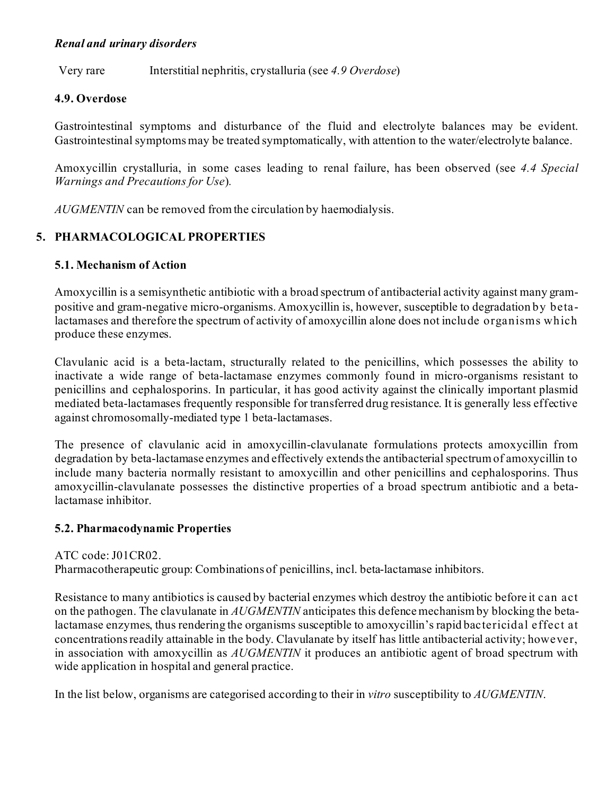### *Renal and urinary disorders*

Very rare Interstitial nephritis, crystalluria (see *4.9 Overdose*)

### **4.9. Overdose**

Gastrointestinal symptoms and disturbance of the fluid and electrolyte balances may be evident. Gastrointestinal symptoms may be treated symptomatically, with attention to the water/electrolyte balance.

Amoxycillin crystalluria, in some cases leading to renal failure, has been observed (see *4.4 Special Warnings and Precautions for Use*)*.*

*AUGMENTIN* can be removed from the circulation by haemodialysis.

### **5. PHARMACOLOGICAL PROPERTIES**

### **5.1. Mechanism of Action**

Amoxycillin is a semisynthetic antibiotic with a broad spectrum of antibacterial activity against many grampositive and gram-negative micro-organisms. Amoxycillin is, however, susceptible to degradation by betalactamases and therefore the spectrum of activity of amoxycillin alone does not include organisms which produce these enzymes.

Clavulanic acid is a beta-lactam, structurally related to the penicillins, which possesses the ability to inactivate a wide range of beta-lactamase enzymes commonly found in micro-organisms resistant to penicillins and cephalosporins. In particular, it has good activity against the clinically important plasmid mediated beta-lactamases frequently responsible for transferred drug resistance. It is generally less effective against chromosomally-mediated type 1 beta-lactamases.

The presence of clavulanic acid in amoxycillin-clavulanate formulations protects amoxycillin from degradation by beta-lactamase enzymes and effectively extends the antibacterial spectrum of amoxycillin to include many bacteria normally resistant to amoxycillin and other penicillins and cephalosporins. Thus amoxycillin-clavulanate possesses the distinctive properties of a broad spectrum antibiotic and a betalactamase inhibitor.

#### **5.2. Pharmacodynamic Properties**

#### ATC code:J01CR02.

Pharmacotherapeutic group: Combinations of penicillins, incl. beta-lactamase inhibitors.

Resistance to many antibiotics is caused by bacterial enzymes which destroy the antibiotic before it can act on the pathogen. The clavulanate in *AUGMENTIN* anticipates this defence mechanism by blocking the betalactamase enzymes, thus rendering the organisms susceptible to amoxycillin's rapid bactericidal effect at concentrations readily attainable in the body. Clavulanate by itself has little antibacterial activity; however, in association with amoxycillin as *AUGMENTIN* it produces an antibiotic agent of broad spectrum with wide application in hospital and general practice.

In the list below, organisms are categorised according to their in *vitro* susceptibility to *AUGMENTIN*.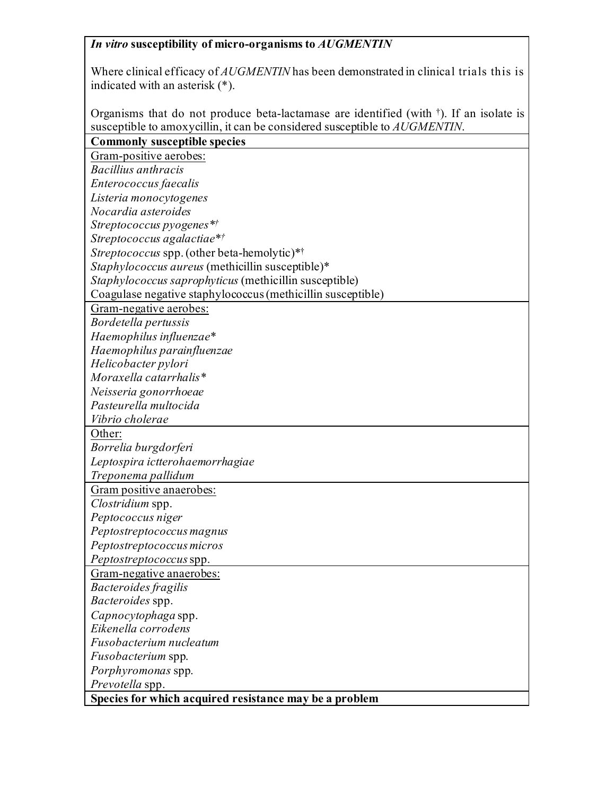# *In vitro* **susceptibility of micro-organisms to** *AUGMENTIN*

Where clinical efficacy of *AUGMENTIN* has been demonstrated in clinical trials this is indicated with an asterisk (\*).

Organisms that do not produce beta-lactamase are identified (with †). If an isolate is susceptible to amoxycillin, it can be considered susceptible to *AUGMENTIN*.

| <b>Commonly susceptible species</b>                         |
|-------------------------------------------------------------|
| Gram-positive aerobes:                                      |
| Bacillius anthracis                                         |
| Enterococcus faecalis                                       |
| Listeria monocytogenes                                      |
| Nocardia asteroides                                         |
| Streptococcus pyogenes*/                                    |
| Streptococcus agalactiae*†                                  |
| Streptococcus spp. (other beta-hemolytic)*†                 |
| Staphylococcus aureus (methicillin susceptible)*            |
| Staphylococcus saprophyticus (methicillin susceptible)      |
| Coagulase negative staphylococcus (methicillin susceptible) |
| Gram-negative aerobes:                                      |
| Bordetella pertussis                                        |
| Haemophilus influenzae*                                     |
| Haemophilus parainfluenzae                                  |
| Helicobacter pylori                                         |
| Moraxella catarrhalis*                                      |
| Neisseria gonorrhoeae                                       |
| Pasteurella multocida                                       |
| Vibrio cholerae                                             |
| Other:                                                      |
| Borrelia burgdorferi                                        |
| Leptospira ictterohaemorrhagiae                             |
| Treponema pallidum                                          |
| Gram positive anaerobes:                                    |
| Clostridium spp.                                            |
| Peptococcus niger                                           |
| Peptostreptococcus magnus                                   |
| Peptostreptococcus micros                                   |
| Peptostreptococcus spp.                                     |
| Gram-negative anaerobes:                                    |
| Bacteroides fragilis                                        |
| Bacteroides spp.                                            |
| Capnocytophaga spp.                                         |
| Eikenella corrodens                                         |
| Fusobacterium nucleatum                                     |
| Fusobacterium spp.                                          |
| Porphyromonas spp.                                          |
| Prevotella spp.                                             |
| Species for which acquired resistance may be a problem      |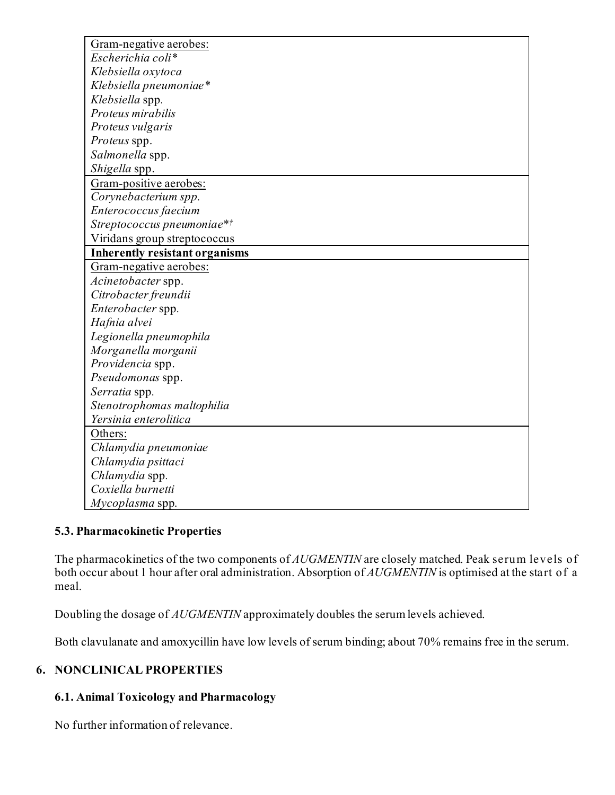| Gram-negative aerobes:                |
|---------------------------------------|
| Escherichia coli*                     |
| Klebsiella oxytoca                    |
| Klebsiella pneumoniae*                |
| Klebsiella spp.                       |
| Proteus mirabilis                     |
| Proteus vulgaris                      |
| Proteus spp.                          |
| Salmonella spp.                       |
| Shigella spp.                         |
| Gram-positive aerobes:                |
| Corynebacterium spp.                  |
| Enterococcus faecium                  |
| Streptococcus pneumoniae*†            |
| Viridans group streptococcus          |
| <b>Inherently resistant organisms</b> |
| Gram-negative aerobes:                |
| Acinetobacter spp.                    |
| Citrobacter freundii                  |
| Enterobacter spp.                     |
| Hafnia alvei                          |
| Legionella pneumophila                |
| Morganella morganii                   |
| Providencia spp.                      |
| Pseudomonas spp.                      |
| Serratia spp.                         |
| Stenotrophomas maltophilia            |
| Yersinia enterolitica                 |
| Others:                               |
| Chlamydia pneumoniae                  |
| Chlamydia psittaci                    |
| Chlamydia spp.                        |
| Coxiella burnetti                     |
| Mycoplasma spp.                       |

## **5.3. Pharmacokinetic Properties**

The pharmacokinetics of the two components of *AUGMENTIN* are closely matched. Peak serum levels of both occur about 1 hour after oral administration. Absorption of *AUGMENTIN* is optimised at the start of a meal.

Doubling the dosage of *AUGMENTIN* approximately doubles the serum levels achieved.

Both clavulanate and amoxycillin have low levels of serum binding; about 70% remains free in the serum.

# **6. NONCLINICAL PROPERTIES**

## **6.1. Animal Toxicology and Pharmacology**

No further information of relevance.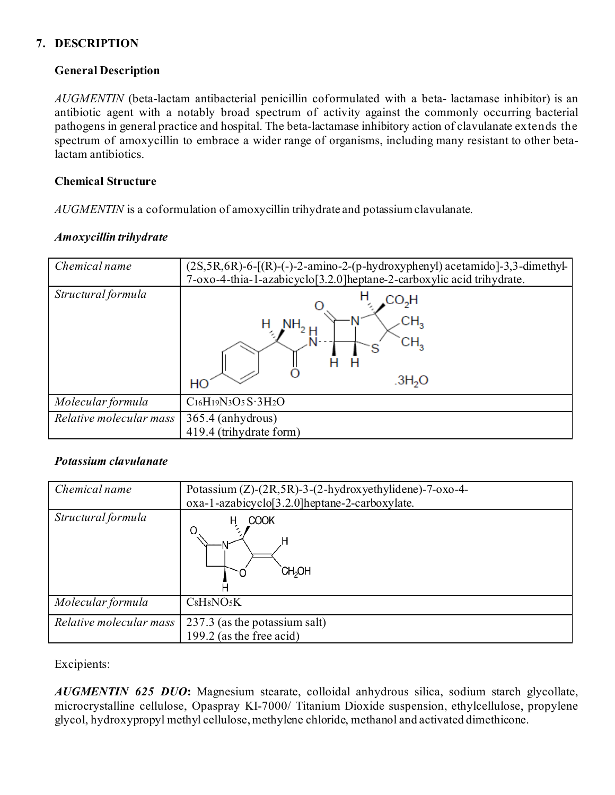# **7. DESCRIPTION**

## **General Description**

*AUGMENTIN* (beta-lactam antibacterial penicillin coformulated with a beta- lactamase inhibitor) is an antibiotic agent with a notably broad spectrum of activity against the commonly occurring bacterial pathogens in general practice and hospital. The beta-lactamase inhibitory action of clavulanate extends the spectrum of amoxycillin to embrace a wider range of organisms, including many resistant to other betalactam antibiotics.

## **Chemical Structure**

*AUGMENTIN* is a coformulation of amoxycillin trihydrate and potassium clavulanate.

## *Amoxycillin trihydrate*

| Chemical name           | $(2S, 5R, 6R)$ -6- $[(R)$ - $(-)$ -2-amino-2- $(p$ -hydroxyphenyl) acetamido]-3,3-dimethyl-<br>7-oxo-4-thia-1-azabicyclo[3.2.0]heptane-2-carboxylic acid trihydrate. |
|-------------------------|----------------------------------------------------------------------------------------------------------------------------------------------------------------------|
| Structural formula      | CO <sub>2</sub> H<br>CH,<br>.3H <sub>2</sub> O<br>HО                                                                                                                 |
| Molecular formula       | $C_{16}H_{19}N_3O_5S\cdot 3H_2O$                                                                                                                                     |
| Relative molecular mass | 365.4 (anhydrous)<br>419.4 (trihydrate form)                                                                                                                         |

### *Potassium clavulanate*

| Chemical name           | Potassium $(Z)$ - $(2R,5R)$ -3- $(2-hydroxyethy$ lidene)-7-oxo-4-<br>oxa-1-azabicyclo <sup>[3.2.0]</sup> heptane-2-carboxylate. |
|-------------------------|---------------------------------------------------------------------------------------------------------------------------------|
| Structural formula      | <b>COOK</b><br>H<br>O<br><b>CH<sub>2</sub>OH</b>                                                                                |
| Molecular formula       | CsH8NO5K                                                                                                                        |
| Relative molecular mass | 237.3 (as the potassium salt)<br>199.2 (as the free acid)                                                                       |

Excipients:

*AUGMENTIN 625 DUO***:** Magnesium stearate, colloidal anhydrous silica, sodium starch glycollate, microcrystalline cellulose, Opaspray KI-7000/ Titanium Dioxide suspension, ethylcellulose, propylene glycol, hydroxypropyl methyl cellulose, methylene chloride, methanol and activated dimethicone.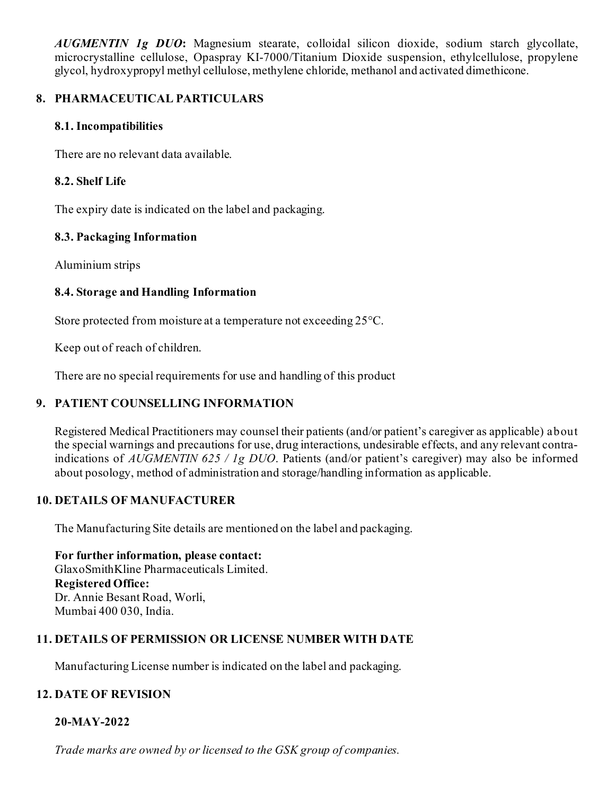*AUGMENTIN 1g DUO***:** Magnesium stearate, colloidal silicon dioxide, sodium starch glycollate, microcrystalline cellulose, Opaspray KI-7000/Titanium Dioxide suspension, ethylcellulose, propylene glycol, hydroxypropyl methyl cellulose, methylene chloride, methanol and activated dimethicone.

# **8. PHARMACEUTICAL PARTICULARS**

## **8.1. Incompatibilities**

There are no relevant data available.

## **8.2. Shelf Life**

The expiry date is indicated on the label and packaging.

## **8.3. Packaging Information**

Aluminium strips

## **8.4. Storage and Handling Information**

Store protected from moisture at a temperature not exceeding 25°C.

Keep out of reach of children.

There are no special requirements for use and handling of this product

# **9. PATIENT COUNSELLING INFORMATION**

Registered Medical Practitioners may counsel their patients (and/or patient's caregiver as applicable) about the special warnings and precautions for use, drug interactions, undesirable effects, and any relevant contraindications of *AUGMENTIN 625 / 1g DUO*. Patients (and/or patient's caregiver) may also be informed about posology, method of administration and storage/handling information as applicable.

# **10. DETAILS OF MANUFACTURER**

The Manufacturing Site details are mentioned on the label and packaging.

**For further information, please contact:** GlaxoSmithKline Pharmaceuticals Limited. **Registered Office:** Dr. Annie Besant Road, Worli, Mumbai 400 030, India.

# **11. DETAILS OF PERMISSION OR LICENSE NUMBER WITH DATE**

Manufacturing License number is indicated on the label and packaging.

# **12. DATE OF REVISION**

### **20-MAY-2022**

*Trade marks are owned by or licensed to the GSK group of companies.*